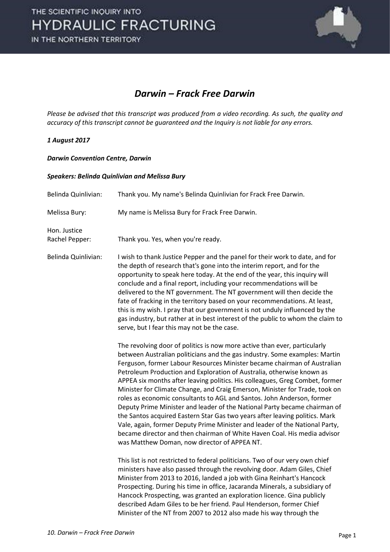

### Darwin – Frack Free Darwin

Please be advised that this transcript was produced from a video recording. As such, the quality and accuracy of this transcript cannot be guaranteed and the Inquiry is not liable for any errors.

#### 1 August 2017

#### Darwin Convention Centre, Darwin

#### Speakers: Belinda Quinlivian and Melissa Bury

| Belinda Quinlivian:            | Thank you. My name's Belinda Quinlivian for Frack Free Darwin.                                                                                                                                                                                                                                                                                                                                                                                                                                                                                                                                                                                                                                                                                                                                                                                                                                                               |
|--------------------------------|------------------------------------------------------------------------------------------------------------------------------------------------------------------------------------------------------------------------------------------------------------------------------------------------------------------------------------------------------------------------------------------------------------------------------------------------------------------------------------------------------------------------------------------------------------------------------------------------------------------------------------------------------------------------------------------------------------------------------------------------------------------------------------------------------------------------------------------------------------------------------------------------------------------------------|
| Melissa Bury:                  | My name is Melissa Bury for Frack Free Darwin.                                                                                                                                                                                                                                                                                                                                                                                                                                                                                                                                                                                                                                                                                                                                                                                                                                                                               |
| Hon. Justice<br>Rachel Pepper: | Thank you. Yes, when you're ready.                                                                                                                                                                                                                                                                                                                                                                                                                                                                                                                                                                                                                                                                                                                                                                                                                                                                                           |
| Belinda Quinlivian:            | I wish to thank Justice Pepper and the panel for their work to date, and for<br>the depth of research that's gone into the interim report, and for the<br>opportunity to speak here today. At the end of the year, this inquiry will<br>conclude and a final report, including your recommendations will be<br>delivered to the NT government. The NT government will then decide the<br>fate of fracking in the territory based on your recommendations. At least,<br>this is my wish. I pray that our government is not unduly influenced by the<br>gas industry, but rather at in best interest of the public to whom the claim to<br>serve, but I fear this may not be the case.                                                                                                                                                                                                                                         |
|                                | The revolving door of politics is now more active than ever, particularly<br>between Australian politicians and the gas industry. Some examples: Martin<br>Ferguson, former Labour Resources Minister became chairman of Australian<br>Petroleum Production and Exploration of Australia, otherwise known as<br>APPEA six months after leaving politics. His colleagues, Greg Combet, former<br>Minister for Climate Change, and Craig Emerson, Minister for Trade, took on<br>roles as economic consultants to AGL and Santos. John Anderson, former<br>Deputy Prime Minister and leader of the National Party became chairman of<br>the Santos acquired Eastern Star Gas two years after leaving politics. Mark<br>Vale, again, former Deputy Prime Minister and leader of the National Party,<br>became director and then chairman of White Haven Coal. His media advisor<br>was Matthew Doman, now director of APPEA NT. |
|                                | This list is not restricted to federal politicians. Two of our very own chief<br>ministers have also passed through the revolving door. Adam Giles, Chief<br>Minister from 2013 to 2016, landed a job with Gina Reinhart's Hancock<br>Prospecting. During his time in office, Jacaranda Minerals, a subsidiary of<br>Hancock Prospecting, was granted an exploration licence. Gina publicly<br>described Adam Giles to be her friend. Paul Henderson, former Chief<br>Minister of the NT from 2007 to 2012 also made his way through the                                                                                                                                                                                                                                                                                                                                                                                     |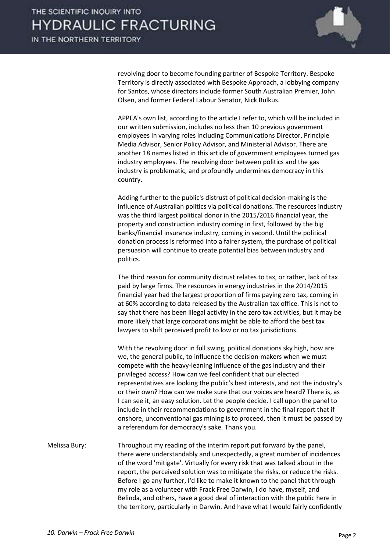

revolving door to become founding partner of Bespoke Territory. Bespoke Territory is directly associated with Bespoke Approach, a lobbying company for Santos, whose directors include former South Australian Premier, John Olsen, and former Federal Labour Senator, Nick Bulkus.

 APPEA's own list, according to the article I refer to, which will be included in our written submission, includes no less than 10 previous government employees in varying roles including Communications Director, Principle Media Advisor, Senior Policy Advisor, and Ministerial Advisor. There are another 18 names listed in this article of government employees turned gas industry employees. The revolving door between politics and the gas industry is problematic, and profoundly undermines democracy in this country.

 Adding further to the public's distrust of political decision-making is the influence of Australian politics via political donations. The resources industry was the third largest political donor in the 2015/2016 financial year, the property and construction industry coming in first, followed by the big banks/financial insurance industry, coming in second. Until the political donation process is reformed into a fairer system, the purchase of political persuasion will continue to create potential bias between industry and politics.

 The third reason for community distrust relates to tax, or rather, lack of tax paid by large firms. The resources in energy industries in the 2014/2015 financial year had the largest proportion of firms paying zero tax, coming in at 60% according to data released by the Australian tax office. This is not to say that there has been illegal activity in the zero tax activities, but it may be more likely that large corporations might be able to afford the best tax lawyers to shift perceived profit to low or no tax jurisdictions.

 With the revolving door in full swing, political donations sky high, how are we, the general public, to influence the decision-makers when we must compete with the heavy-leaning influence of the gas industry and their privileged access? How can we feel confident that our elected representatives are looking the public's best interests, and not the industry's or their own? How can we make sure that our voices are heard? There is, as I can see it, an easy solution. Let the people decide. I call upon the panel to include in their recommendations to government in the final report that if onshore, unconventional gas mining is to proceed, then it must be passed by a referendum for democracy's sake. Thank you.

Melissa Bury: Throughout my reading of the interim report put forward by the panel, there were understandably and unexpectedly, a great number of incidences of the word 'mitigate'. Virtually for every risk that was talked about in the report, the perceived solution was to mitigate the risks, or reduce the risks. Before I go any further, I'd like to make it known to the panel that through my role as a volunteer with Frack Free Darwin, I do have, myself, and Belinda, and others, have a good deal of interaction with the public here in the territory, particularly in Darwin. And have what I would fairly confidently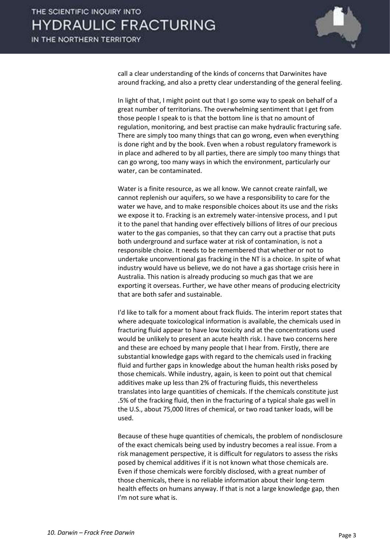

call a clear understanding of the kinds of concerns that Darwinites have around fracking, and also a pretty clear understanding of the general feeling.

 In light of that, I might point out that I go some way to speak on behalf of a great number of territorians. The overwhelming sentiment that I get from those people I speak to is that the bottom line is that no amount of regulation, monitoring, and best practise can make hydraulic fracturing safe. There are simply too many things that can go wrong, even when everything is done right and by the book. Even when a robust regulatory framework is in place and adhered to by all parties, there are simply too many things that can go wrong, too many ways in which the environment, particularly our water, can be contaminated.

 Water is a finite resource, as we all know. We cannot create rainfall, we cannot replenish our aquifers, so we have a responsibility to care for the water we have, and to make responsible choices about its use and the risks we expose it to. Fracking is an extremely water-intensive process, and I put it to the panel that handing over effectively billions of litres of our precious water to the gas companies, so that they can carry out a practise that puts both underground and surface water at risk of contamination, is not a responsible choice. It needs to be remembered that whether or not to undertake unconventional gas fracking in the NT is a choice. In spite of what industry would have us believe, we do not have a gas shortage crisis here in Australia. This nation is already producing so much gas that we are exporting it overseas. Further, we have other means of producing electricity that are both safer and sustainable.

 I'd like to talk for a moment about frack fluids. The interim report states that where adequate toxicological information is available, the chemicals used in fracturing fluid appear to have low toxicity and at the concentrations used would be unlikely to present an acute health risk. I have two concerns here and these are echoed by many people that I hear from. Firstly, there are substantial knowledge gaps with regard to the chemicals used in fracking fluid and further gaps in knowledge about the human health risks posed by those chemicals. While industry, again, is keen to point out that chemical additives make up less than 2% of fracturing fluids, this nevertheless translates into large quantities of chemicals. If the chemicals constitute just .5% of the fracking fluid, then in the fracturing of a typical shale gas well in the U.S., about 75,000 litres of chemical, or two road tanker loads, will be used.

 Because of these huge quantities of chemicals, the problem of nondisclosure of the exact chemicals being used by industry becomes a real issue. From a risk management perspective, it is difficult for regulators to assess the risks posed by chemical additives if it is not known what those chemicals are. Even if those chemicals were forcibly disclosed, with a great number of those chemicals, there is no reliable information about their long-term health effects on humans anyway. If that is not a large knowledge gap, then I'm not sure what is.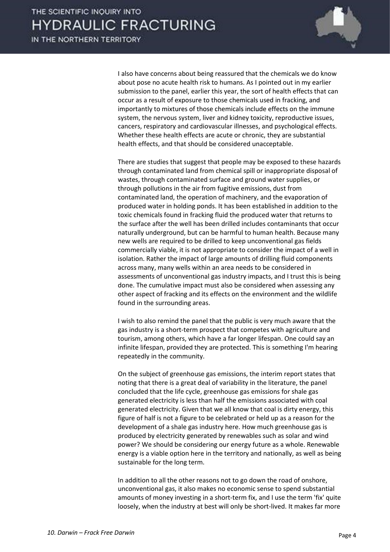

 I also have concerns about being reassured that the chemicals we do know about pose no acute health risk to humans. As I pointed out in my earlier submission to the panel, earlier this year, the sort of health effects that can occur as a result of exposure to those chemicals used in fracking, and importantly to mixtures of those chemicals include effects on the immune system, the nervous system, liver and kidney toxicity, reproductive issues, cancers, respiratory and cardiovascular illnesses, and psychological effects. Whether these health effects are acute or chronic, they are substantial health effects, and that should be considered unacceptable.

 There are studies that suggest that people may be exposed to these hazards through contaminated land from chemical spill or inappropriate disposal of wastes, through contaminated surface and ground water supplies, or through pollutions in the air from fugitive emissions, dust from contaminated land, the operation of machinery, and the evaporation of produced water in holding ponds. It has been established in addition to the toxic chemicals found in fracking fluid the produced water that returns to the surface after the well has been drilled includes contaminants that occur naturally underground, but can be harmful to human health. Because many new wells are required to be drilled to keep unconventional gas fields commercially viable, it is not appropriate to consider the impact of a well in isolation. Rather the impact of large amounts of drilling fluid components across many, many wells within an area needs to be considered in assessments of unconventional gas industry impacts, and I trust this is being done. The cumulative impact must also be considered when assessing any other aspect of fracking and its effects on the environment and the wildlife found in the surrounding areas.

 I wish to also remind the panel that the public is very much aware that the gas industry is a short-term prospect that competes with agriculture and tourism, among others, which have a far longer lifespan. One could say an infinite lifespan, provided they are protected. This is something I'm hearing repeatedly in the community.

 On the subject of greenhouse gas emissions, the interim report states that noting that there is a great deal of variability in the literature, the panel concluded that the life cycle, greenhouse gas emissions for shale gas generated electricity is less than half the emissions associated with coal generated electricity. Given that we all know that coal is dirty energy, this figure of half is not a figure to be celebrated or held up as a reason for the development of a shale gas industry here. How much greenhouse gas is produced by electricity generated by renewables such as solar and wind power? We should be considering our energy future as a whole. Renewable energy is a viable option here in the territory and nationally, as well as being sustainable for the long term.

 In addition to all the other reasons not to go down the road of onshore, unconventional gas, it also makes no economic sense to spend substantial amounts of money investing in a short-term fix, and I use the term 'fix' quite loosely, when the industry at best will only be short-lived. It makes far more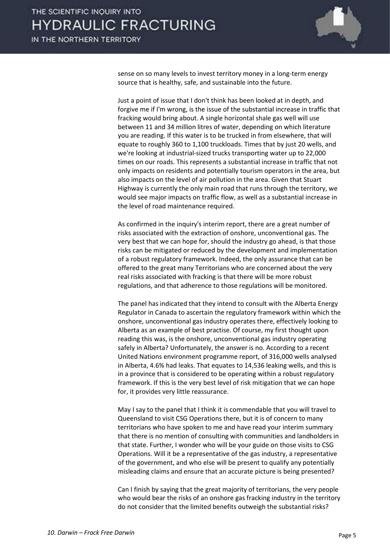

sense on so many levels to invest territory money in a long-term energy source that is healthy, safe, and sustainable into the future.

 Just a point of issue that I don't think has been looked at in depth, and forgive me if I'm wrong, is the issue of the substantial increase in traffic that fracking would bring about. A single horizontal shale gas well will use between 11 and 34 million litres of water, depending on which literature you are reading. If this water is to be trucked in from elsewhere, that will equate to roughly 360 to 1,100 truckloads. Times that by just 20 wells, and we're looking at industrial-sized trucks transporting water up to 22,000 times on our roads. This represents a substantial increase in traffic that not only impacts on residents and potentially tourism operators in the area, but also impacts on the level of air pollution in the area. Given that Stuart Highway is currently the only main road that runs through the territory, we would see major impacts on traffic flow, as well as a substantial increase in the level of road maintenance required.

 As confirmed in the inquiry's interim report, there are a great number of risks associated with the extraction of onshore, unconventional gas. The very best that we can hope for, should the industry go ahead, is that those risks can be mitigated or reduced by the development and implementation of a robust regulatory framework. Indeed, the only assurance that can be offered to the great many Territorians who are concerned about the very real risks associated with fracking is that there will be more robust regulations, and that adherence to those regulations will be monitored.

 The panel has indicated that they intend to consult with the Alberta Energy Regulator in Canada to ascertain the regulatory framework within which the onshore, unconventional gas industry operates there, effectively looking to Alberta as an example of best practise. Of course, my first thought upon reading this was, is the onshore, unconventional gas industry operating safely in Alberta? Unfortunately, the answer is no. According to a recent United Nations environment programme report, of 316,000 wells analysed in Alberta, 4.6% had leaks. That equates to 14,536 leaking wells, and this is in a province that is considered to be operating within a robust regulatory framework. If this is the very best level of risk mitigation that we can hope for, it provides very little reassurance.

 May I say to the panel that I think it is commendable that you will travel to Queensland to visit CSG Operations there, but it is of concern to many territorians who have spoken to me and have read your interim summary that there is no mention of consulting with communities and landholders in that state. Further, I wonder who will be your guide on those visits to CSG Operations. Will it be a representative of the gas industry, a representative of the government, and who else will be present to qualify any potentially misleading claims and ensure that an accurate picture is being presented?

 Can I finish by saying that the great majority of territorians, the very people who would bear the risks of an onshore gas fracking industry in the territory do not consider that the limited benefits outweigh the substantial risks?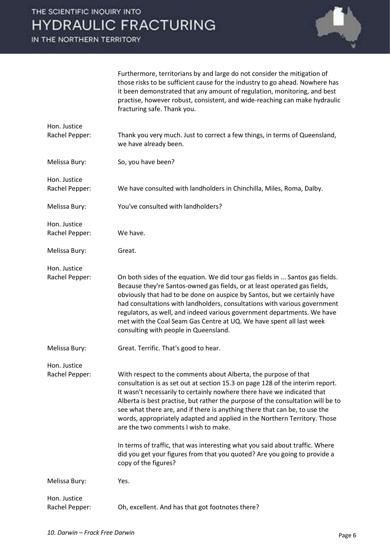IN THE NORTHERN TERRITORY



Furthermore, territorians by and large do not consider the mitigation of those risks to be sufficient cause for the industry to go ahead. Nowhere has it been demonstrated that any amount of regulation, monitoring, and best practise, however robust, consistent, and wide-reaching can make hydraulic fracturing safe. Thank you.

| Hon. Justice<br>Rachel Pepper: | Thank you very much. Just to correct a few things, in terms of Queensland,<br>we have already been.                                                                                                                                                                                                                                                                                                                                                                                                               |
|--------------------------------|-------------------------------------------------------------------------------------------------------------------------------------------------------------------------------------------------------------------------------------------------------------------------------------------------------------------------------------------------------------------------------------------------------------------------------------------------------------------------------------------------------------------|
| Melissa Bury:                  | So, you have been?                                                                                                                                                                                                                                                                                                                                                                                                                                                                                                |
| Hon. Justice<br>Rachel Pepper: | We have consulted with landholders in Chinchilla, Miles, Roma, Dalby.                                                                                                                                                                                                                                                                                                                                                                                                                                             |
| Melissa Bury:                  | You've consulted with landholders?                                                                                                                                                                                                                                                                                                                                                                                                                                                                                |
| Hon. Justice<br>Rachel Pepper: | We have.                                                                                                                                                                                                                                                                                                                                                                                                                                                                                                          |
| Melissa Bury:                  | Great.                                                                                                                                                                                                                                                                                                                                                                                                                                                                                                            |
| Hon. Justice<br>Rachel Pepper: | On both sides of the equation. We did tour gas fields in  Santos gas fields.<br>Because they're Santos-owned gas fields, or at least operated gas fields,<br>obviously that had to be done on auspice by Santos, but we certainly have<br>had consultations with landholders, consultations with various government<br>regulators, as well, and indeed various government departments. We have<br>met with the Coal Seam Gas Centre at UQ. We have spent all last week<br>consulting with people in Queensland.   |
| Melissa Bury:                  | Great. Terrific. That's good to hear.                                                                                                                                                                                                                                                                                                                                                                                                                                                                             |
| Hon. Justice<br>Rachel Pepper: | With respect to the comments about Alberta, the purpose of that<br>consultation is as set out at section 15.3 on page 128 of the interim report.<br>It wasn't necessarily to certainly nowhere there have we indicated that<br>Alberta is best practise, but rather the purpose of the consultation will be to<br>see what there are, and if there is anything there that can be, to use the<br>words, appropriately adapted and applied in the Northern Territory. Those<br>are the two comments I wish to make. |
|                                | In terms of traffic, that was interesting what you said about traffic. Where<br>did you get your figures from that you quoted? Are you going to provide a<br>copy of the figures?                                                                                                                                                                                                                                                                                                                                 |
| Melissa Bury:                  | Yes.                                                                                                                                                                                                                                                                                                                                                                                                                                                                                                              |
| Hon. Justice<br>Rachel Pepper: | Oh, excellent. And has that got footnotes there?                                                                                                                                                                                                                                                                                                                                                                                                                                                                  |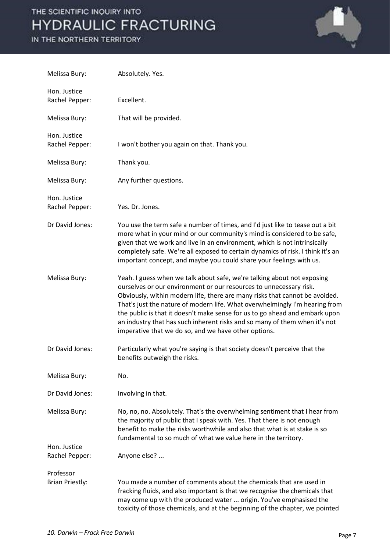# THE SCIENTIFIC INQUIRY INTO **HYDRAULIC FRACTURING**

### IN THE NORTHERN TERRITORY



| Melissa Bury:                  | Absolutely. Yes.                                                                                                                                                                                                                                                                                                                                                                                                                                                                                                                 |
|--------------------------------|----------------------------------------------------------------------------------------------------------------------------------------------------------------------------------------------------------------------------------------------------------------------------------------------------------------------------------------------------------------------------------------------------------------------------------------------------------------------------------------------------------------------------------|
| Hon. Justice<br>Rachel Pepper: | Excellent.                                                                                                                                                                                                                                                                                                                                                                                                                                                                                                                       |
| Melissa Bury:                  | That will be provided.                                                                                                                                                                                                                                                                                                                                                                                                                                                                                                           |
| Hon. Justice<br>Rachel Pepper: | I won't bother you again on that. Thank you.                                                                                                                                                                                                                                                                                                                                                                                                                                                                                     |
| Melissa Bury:                  | Thank you.                                                                                                                                                                                                                                                                                                                                                                                                                                                                                                                       |
| Melissa Bury:                  | Any further questions.                                                                                                                                                                                                                                                                                                                                                                                                                                                                                                           |
| Hon. Justice<br>Rachel Pepper: | Yes. Dr. Jones.                                                                                                                                                                                                                                                                                                                                                                                                                                                                                                                  |
| Dr David Jones:                | You use the term safe a number of times, and I'd just like to tease out a bit<br>more what in your mind or our community's mind is considered to be safe,<br>given that we work and live in an environment, which is not intrinsically<br>completely safe. We're all exposed to certain dynamics of risk. I think it's an<br>important concept, and maybe you could share your feelings with us.                                                                                                                                 |
| Melissa Bury:                  | Yeah. I guess when we talk about safe, we're talking about not exposing<br>ourselves or our environment or our resources to unnecessary risk.<br>Obviously, within modern life, there are many risks that cannot be avoided.<br>That's just the nature of modern life. What overwhelmingly I'm hearing from<br>the public is that it doesn't make sense for us to go ahead and embark upon<br>an industry that has such inherent risks and so many of them when it's not<br>imperative that we do so, and we have other options. |
| Dr David Jones:                | Particularly what you're saying is that society doesn't perceive that the<br>benefits outweigh the risks.                                                                                                                                                                                                                                                                                                                                                                                                                        |
| Melissa Bury:                  | No.                                                                                                                                                                                                                                                                                                                                                                                                                                                                                                                              |
| Dr David Jones:                | Involving in that.                                                                                                                                                                                                                                                                                                                                                                                                                                                                                                               |
| Melissa Bury:                  | No, no, no. Absolutely. That's the overwhelming sentiment that I hear from<br>the majority of public that I speak with. Yes. That there is not enough<br>benefit to make the risks worthwhile and also that what is at stake is so<br>fundamental to so much of what we value here in the territory.                                                                                                                                                                                                                             |
| Hon. Justice<br>Rachel Pepper: | Anyone else?                                                                                                                                                                                                                                                                                                                                                                                                                                                                                                                     |
| Professor                      |                                                                                                                                                                                                                                                                                                                                                                                                                                                                                                                                  |
| <b>Brian Priestly:</b>         | You made a number of comments about the chemicals that are used in<br>fracking fluids, and also important is that we recognise the chemicals that<br>may come up with the produced water  origin. You've emphasised the<br>toxicity of those chemicals, and at the beginning of the chapter, we pointed                                                                                                                                                                                                                          |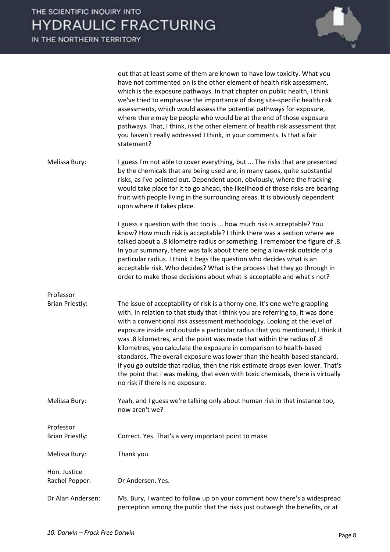

|                                     | out that at least some of them are known to have low toxicity. What you<br>have not commented on is the other element of health risk assessment,<br>which is the exposure pathways. In that chapter on public health, I think<br>we've tried to emphasise the importance of doing site-specific health risk<br>assessments, which would assess the potential pathways for exposure,<br>where there may be people who would be at the end of those exposure<br>pathways. That, I think, is the other element of health risk assessment that<br>you haven't really addressed I think, in your comments. Is that a fair<br>statement?                                                                                                                                   |
|-------------------------------------|----------------------------------------------------------------------------------------------------------------------------------------------------------------------------------------------------------------------------------------------------------------------------------------------------------------------------------------------------------------------------------------------------------------------------------------------------------------------------------------------------------------------------------------------------------------------------------------------------------------------------------------------------------------------------------------------------------------------------------------------------------------------|
| Melissa Bury:                       | I guess I'm not able to cover everything, but  The risks that are presented<br>by the chemicals that are being used are, in many cases, quite substantial<br>risks, as I've pointed out. Dependent upon, obviously, where the fracking<br>would take place for it to go ahead, the likelihood of those risks are bearing<br>fruit with people living in the surrounding areas. It is obviously dependent<br>upon where it takes place.                                                                                                                                                                                                                                                                                                                               |
|                                     | I guess a question with that too is  how much risk is acceptable? You<br>know? How much risk is acceptable? I think there was a section where we<br>talked about a .8 kilometre radius or something. I remember the figure of .8.<br>In your summary, there was talk about there being a low-risk outside of a<br>particular radius. I think it begs the question who decides what is an<br>acceptable risk. Who decides? What is the process that they go through in<br>order to make those decisions about what is acceptable and what's not?                                                                                                                                                                                                                      |
| Professor                           |                                                                                                                                                                                                                                                                                                                                                                                                                                                                                                                                                                                                                                                                                                                                                                      |
| <b>Brian Priestly:</b>              | The issue of acceptability of risk is a thorny one. It's one we're grappling<br>with. In relation to that study that I think you are referring to, it was done<br>with a conventional risk assessment methodology. Looking at the level of<br>exposure inside and outside a particular radius that you mentioned, I think it<br>was .8 kilometres, and the point was made that within the radius of .8<br>kilometres, you calculate the exposure in comparison to health-based<br>standards. The overall exposure was lower than the health-based standard.<br>If you go outside that radius, then the risk estimate drops even lower. That's<br>the point that I was making, that even with toxic chemicals, there is virtually<br>no risk if there is no exposure. |
| Melissa Bury:                       | Yeah, and I guess we're talking only about human risk in that instance too,<br>now aren't we?                                                                                                                                                                                                                                                                                                                                                                                                                                                                                                                                                                                                                                                                        |
| Professor<br><b>Brian Priestly:</b> | Correct. Yes. That's a very important point to make.                                                                                                                                                                                                                                                                                                                                                                                                                                                                                                                                                                                                                                                                                                                 |
| Melissa Bury:                       | Thank you.                                                                                                                                                                                                                                                                                                                                                                                                                                                                                                                                                                                                                                                                                                                                                           |
| Hon. Justice                        |                                                                                                                                                                                                                                                                                                                                                                                                                                                                                                                                                                                                                                                                                                                                                                      |
| Rachel Pepper:                      | Dr Andersen. Yes.                                                                                                                                                                                                                                                                                                                                                                                                                                                                                                                                                                                                                                                                                                                                                    |
| Dr Alan Andersen:                   | Ms. Bury, I wanted to follow up on your comment how there's a widespread<br>perception among the public that the risks just outweigh the benefits, or at                                                                                                                                                                                                                                                                                                                                                                                                                                                                                                                                                                                                             |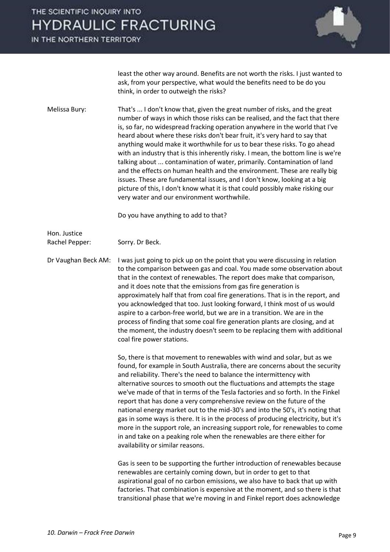### THE SCIENTIFIC INOUIRY INTO **HYDRAULIC FRACTURING**

IN THE NORTHERN TERRITORY



least the other way around. Benefits are not worth the risks. I just wanted to ask, from your perspective, what would the benefits need to be do you think, in order to outweigh the risks?

Melissa Bury: That's ... I don't know that, given the great number of risks, and the great number of ways in which those risks can be realised, and the fact that there is, so far, no widespread fracking operation anywhere in the world that I've heard about where these risks don't bear fruit, it's very hard to say that anything would make it worthwhile for us to bear these risks. To go ahead with an industry that is this inherently risky. I mean, the bottom line is we're talking about ... contamination of water, primarily. Contamination of land and the effects on human health and the environment. These are really big issues. These are fundamental issues, and I don't know, looking at a big picture of this, I don't know what it is that could possibly make risking our very water and our environment worthwhile.

Do you have anything to add to that?

Hon. Justice Rachel Pepper: Sorry. Dr Beck.

Dr Vaughan Beck AM: I was just going to pick up on the point that you were discussing in relation to the comparison between gas and coal. You made some observation about that in the context of renewables. The report does make that comparison, and it does note that the emissions from gas fire generation is approximately half that from coal fire generations. That is in the report, and you acknowledged that too. Just looking forward, I think most of us would aspire to a carbon-free world, but we are in a transition. We are in the process of finding that some coal fire generation plants are closing, and at the moment, the industry doesn't seem to be replacing them with additional coal fire power stations.

> So, there is that movement to renewables with wind and solar, but as we found, for example in South Australia, there are concerns about the security and reliability. There's the need to balance the intermittency with alternative sources to smooth out the fluctuations and attempts the stage we've made of that in terms of the Tesla factories and so forth. In the Finkel report that has done a very comprehensive review on the future of the national energy market out to the mid-30's and into the 50's, it's noting that gas in some ways is there. It is in the process of producing electricity, but it's more in the support role, an increasing support role, for renewables to come in and take on a peaking role when the renewables are there either for availability or similar reasons.

> Gas is seen to be supporting the further introduction of renewables because renewables are certainly coming down, but in order to get to that aspirational goal of no carbon emissions, we also have to back that up with factories. That combination is expensive at the moment, and so there is that transitional phase that we're moving in and Finkel report does acknowledge